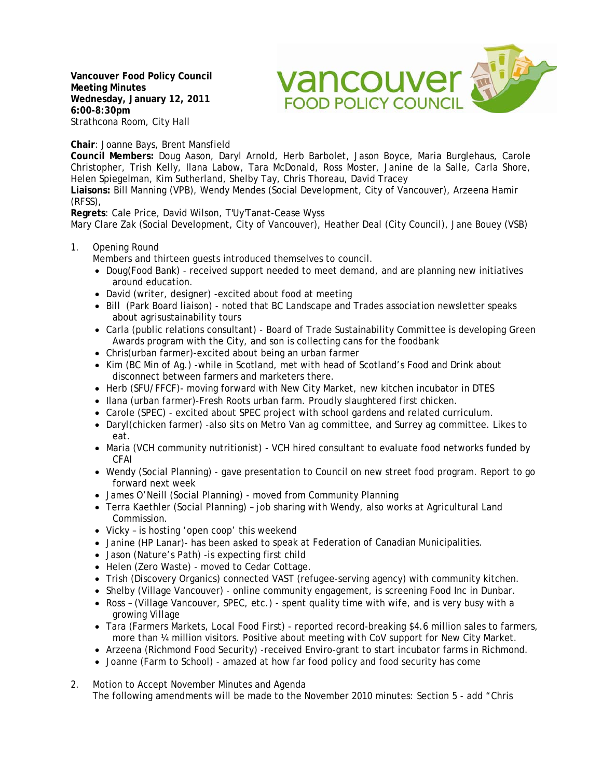**Vancouver Food Policy Council Meeting Minutes Wednesday, January 12, 2011 6:00-8:30pm**  Strathcona Room, City Hall

vancouver av **FOOD POLICY COUNCIL** 

**Chair**: Joanne Bays, Brent Mansfield

**Council Members:** Doug Aason, Daryl Arnold, Herb Barbolet, Jason Boyce, Maria Burglehaus, Carole Christopher, Trish Kelly, Ilana Labow, Tara McDonald, Ross Moster, Janine de la Salle, Carla Shore, Helen Spiegelman, Kim Sutherland, Shelby Tay, Chris Thoreau, David Tracey

**Liaisons:** Bill Manning (VPB), Wendy Mendes (Social Development, City of Vancouver), Arzeena Hamir (RFSS),

**Regrets**: Cale Price, David Wilson, T'Uy'Tanat-Cease Wyss

Mary Clare Zak (Social Development, City of Vancouver), Heather Deal (City Council), Jane Bouey (VSB)

1. Opening Round

Members and thirteen guests introduced themselves to council.

- Doug(Food Bank) received support needed to meet demand, and are planning new initiatives around education.
- David (writer, designer) -excited about food at meeting
- Bill (Park Board liaison) noted that BC Landscape and Trades association newsletter speaks about agrisustainability tours
- Carla (public relations consultant) Board of Trade Sustainability Committee is developing Green Awards program with the City, and son is collecting cans for the foodbank
- Chris(urban farmer)-excited about being an urban farmer
- Kim (BC Min of Ag.) -while in Scotland, met with head of Scotland's Food and Drink about disconnect between farmers and marketers there.
- Herb (SFU/FFCF)- moving forward with New City Market, new kitchen incubator in DTES
- Ilana (urban farmer)-Fresh Roots urban farm. Proudly slaughtered first chicken.
- Carole (SPEC) excited about SPEC project with school gardens and related curriculum.
- Daryl(chicken farmer) -also sits on Metro Van ag committee, and Surrey ag committee. Likes to eat.
- Maria (VCH community nutritionist) VCH hired consultant to evaluate food networks funded by CFAI
- Wendy (Social Planning) gave presentation to Council on new street food program. Report to go forward next week
- James O'Neill (Social Planning) moved from Community Planning
- Terra Kaethler (Social Planning) job sharing with Wendy, also works at Agricultural Land Commission.
- Vicky is hosting 'open coop' this weekend
- Janine (HP Lanar)- has been asked to speak at Federation of Canadian Municipalities.
- Jason (Nature's Path) -is expecting first child
- Helen (Zero Waste) moved to Cedar Cottage.
- Trish (Discovery Organics) connected VAST (refugee-serving agency) with community kitchen.
- Shelby (Village Vancouver) online community engagement, is screening Food Inc in Dunbar.
- Ross (Village Vancouver, SPEC, etc.) spent quality time with wife, and is very busy with a growing Village
- Tara (Farmers Markets, Local Food First) reported record-breaking \$4.6 million sales to farmers, more than ¼ million visitors. Positive about meeting with CoV support for New City Market.
- Arzeena (Richmond Food Security) -received Enviro-grant to start incubator farms in Richmond.
- Joanne (Farm to School) amazed at how far food policy and food security has come
- 2. Motion to Accept November Minutes and Agenda The following amendments will be made to the November 2010 minutes: Section 5 - add "Chris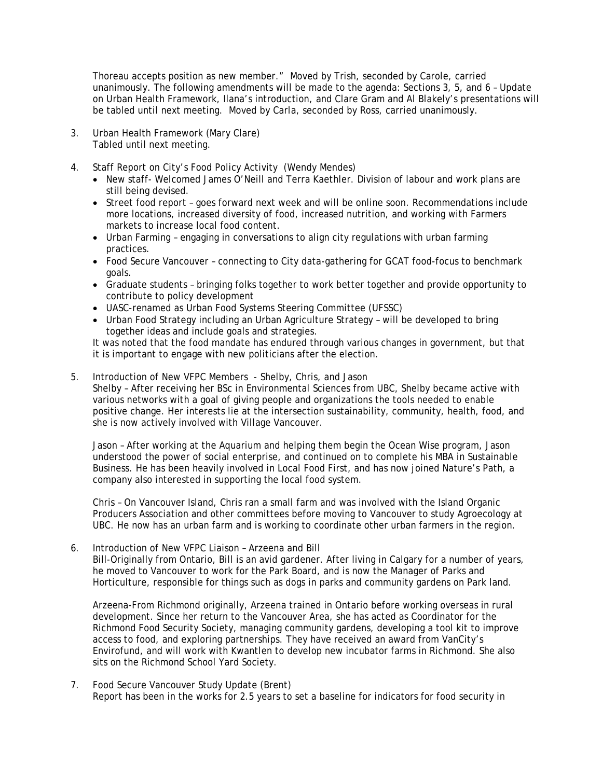Thoreau accepts position as new member." Moved by Trish, seconded by Carole, carried unanimously. The following amendments will be made to the agenda: Sections 3, 5, and 6 – Update on Urban Health Framework, Ilana's introduction, and Clare Gram and Al Blakely's presentations will be tabled until next meeting. Moved by Carla, seconded by Ross, carried unanimously.

- 3. Urban Health Framework (Mary Clare) Tabled until next meeting.
- 4. Staff Report on City's Food Policy Activity (Wendy Mendes)
	- New staff- Welcomed James O'Neill and Terra Kaethler. Division of labour and work plans are still being devised.
	- Street food report goes forward next week and will be online soon. Recommendations include more locations, increased diversity of food, increased nutrition, and working with Farmers markets to increase local food content.
	- Urban Farming engaging in conversations to align city regulations with urban farming practices.
	- Food Secure Vancouver connecting to City data-gathering for GCAT food-focus to benchmark goals.
	- Graduate students bringing folks together to work better together and provide opportunity to contribute to policy development
	- UASC-renamed as Urban Food Systems Steering Committee (UFSSC)
	- Urban Food Strategy including an Urban Agriculture Strategy will be developed to bring together ideas and include goals and strategies.

 It was noted that the food mandate has endured through various changes in government, but that it is important to engage with new politicians after the election.

5. Introduction of New VFPC Members - Shelby, Chris, and Jason Shelby – After receiving her BSc in Environmental Sciences from UBC, Shelby became active with various networks with a goal of giving people and organizations the tools needed to enable positive change. Her interests lie at the intersection sustainability, community, health, food, and she is now actively involved with Village Vancouver.

 Jason – After working at the Aquarium and helping them begin the Ocean Wise program, Jason understood the power of social enterprise, and continued on to complete his MBA in Sustainable Business. He has been heavily involved in Local Food First, and has now joined Nature's Path, a company also interested in supporting the local food system.

 Chris – On Vancouver Island, Chris ran a small farm and was involved with the Island Organic Producers Association and other committees before moving to Vancouver to study Agroecology at UBC. He now has an urban farm and is working to coordinate other urban farmers in the region.

6. Introduction of New VFPC Liaison – Arzeena and Bill Bill-Originally from Ontario, Bill is an avid gardener. After living in Calgary for a number of years, he moved to Vancouver to work for the Park Board, and is now the Manager of Parks and Horticulture, responsible for things such as dogs in parks and community gardens on Park land.

Arzeena-From Richmond originally, Arzeena trained in Ontario before working overseas in rural development. Since her return to the Vancouver Area, she has acted as Coordinator for the Richmond Food Security Society, managing community gardens, developing a tool kit to improve access to food, and exploring partnerships. They have received an award from VanCity's Envirofund, and will work with Kwantlen to develop new incubator farms in Richmond. She also sits on the Richmond School Yard Society.

7. Food Secure Vancouver Study Update (Brent) Report has been in the works for 2.5 years to set a baseline for indicators for food security in